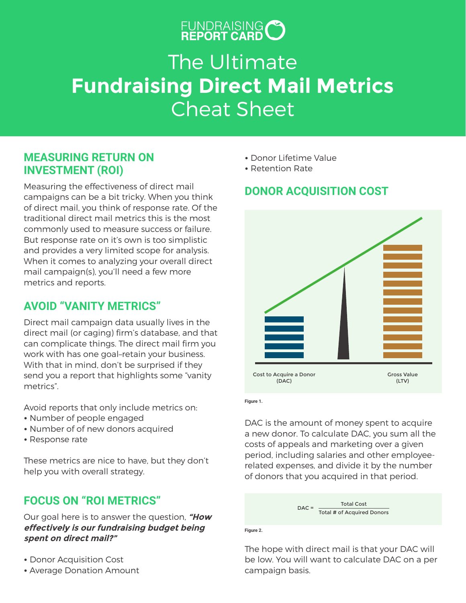# FUNDRAISING O

# The Ultimate **Fundraising Direct Mail Metrics** Cheat Sheet

## **MEASURING RETURN ON INVESTMENT (ROI)**

Measuring the effectiveness of direct mail campaigns can be a bit tricky. When you think of direct mail, you think of response rate. Of the traditional direct mail metrics this is the most commonly used to measure success or failure. But response rate on it's own is too simplistic and provides a very limited scope for analysis. When it comes to analyzing your overall direct mail campaign(s), you'll need a few more metrics and reports.

## **AVOID "VANITY METRICS"**

Direct mail campaign data usually lives in the direct mail (or caging) firm's database, and that can complicate things. The direct mail firm you work with has one goal–retain your business. With that in mind, don't be surprised if they send you a report that highlights some "vanity metrics".

Avoid reports that only include metrics on:

- **•** Number of people engaged
- **•** Number of of new donors acquired
- Response rate

These metrics are nice to have, but they don't help you with overall strategy.

## **FOCUS ON "ROI METRICS"**

Our goal here is to answer the question, **"How effectively is our fundraising budget being spent on direct mail?"**

- **•** Donor Acquisition Cost
- Average Donation Amount
- **•** Donor Lifetime Value
- **•** Retention Rate

# **DONOR ACQUISITION COST**



**Figure 1.**

DAC is the amount of money spent to acquire a new donor. To calculate DAC, you sum all the costs of appeals and marketing over a given period, including salaries and other employeerelated expenses, and divide it by the number of donors that you acquired in that period.

> DAC = Total # of Acquired Donors Total Cost

#### **Figure 2.**

The hope with direct mail is that your DAC will be low. You will want to calculate DAC on a per campaign basis.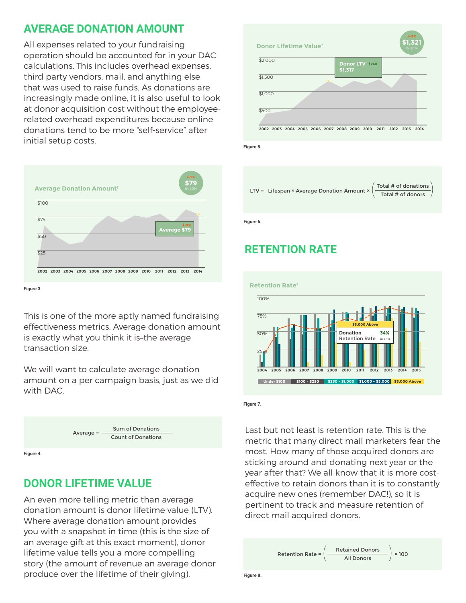## **AVERAGE DONATION AMOUNT**

All expenses related to your fundraising operation should be accounted for in your DAC calculations. This includes overhead expenses, third party vendors, mail, and anything else that was used to raise funds. As donations are increasingly made online, it is also useful to look at donor acquisition cost without the employeerelated overhead expenditures because online donations tend to be more "self-service" after initial setup costs.



**Figure 3.**

This is one of the more aptly named fundraising effectiveness metrics. Average donation amount is exactly what you think it is–the average transaction size.

We will want to calculate average donation amount on a per campaign basis, just as we did with DAC.



### **DONOR LIFETIME VALUE**

An even more telling metric than average donation amount is donor lifetime value (LTV). Where average donation amount provides you with a snapshot in time (this is the size of an average gift at this exact moment), donor lifetime value tells you a more compelling story (the amount of revenue an average donor produce over the lifetime of their giving).



**Figure 5.**



**Figure 6.**

# **RETENTION RATE**



**Figure 7.**

Last but not least is retention rate. This is the metric that many direct mail marketers fear the most. How many of those acquired donors are sticking around and donating next year or the year after that? We all know that it is more costeffective to retain donors than it is to constantly acquire new ones (remember DAC!), so it is pertinent to track and measure retention of direct mail acquired donors.